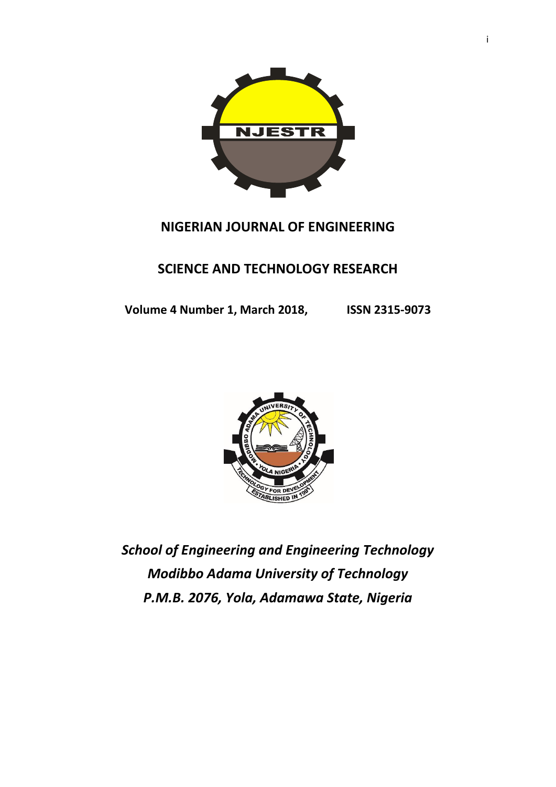

## **NIGERIAN JOURNAL OF ENGINEERING**

## **SCIENCE AND TECHNOLOGY RESEARCH**

**Volume 4 Number 1, March 2018, ISSN 2315-9073**



*School of Engineering and Engineering Technology Modibbo Adama University of Technology P.M.B. 2076, Yola, Adamawa State, Nigeria*